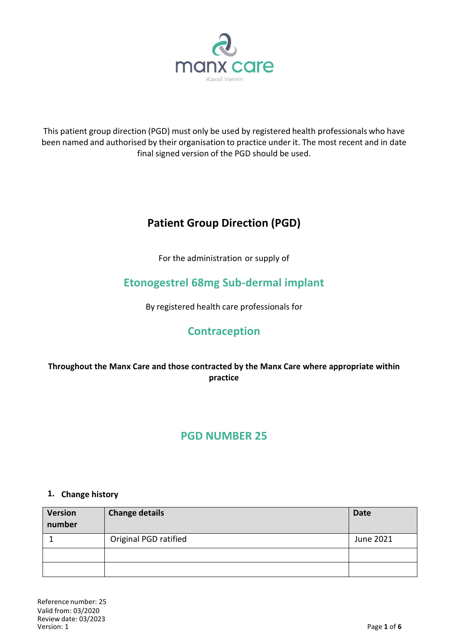

This patient group direction (PGD) must only be used by registered health professionals who have been named and authorised by their organisation to practice under it. The most recent and in date final signed version of the PGD should be used.

# **Patient Group Direction (PGD)**

For the administration or supply of

# **Etonogestrel 68mg Sub-dermal implant**

By registered health care professionals for

## **Contraception**

## **Throughout the Manx Care and those contracted by the Manx Care where appropriate within practice**

## **PGD NUMBER 25**

#### **1. Change history**

| <b>Version</b><br>number | <b>Change details</b> | <b>Date</b> |
|--------------------------|-----------------------|-------------|
|                          | Original PGD ratified | June 2021   |
|                          |                       |             |
|                          |                       |             |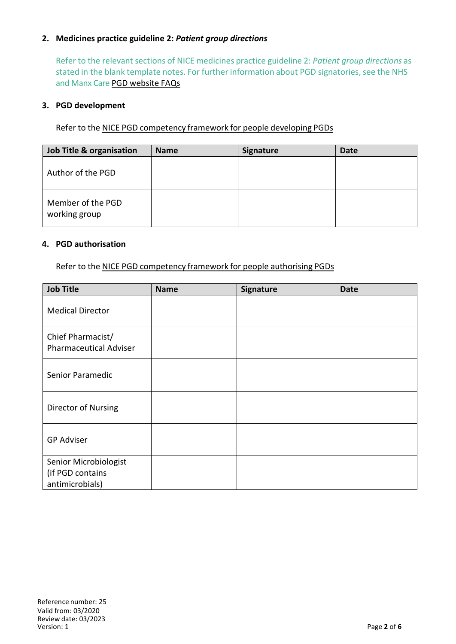## **2. Medicines practice guideline 2:** *Patient group directions*

Refer to the relevant sections of NICE medicines practice guideline 2: *Patient group directions* as stated in the blank template notes. For further information about PGD signatories, see the NHS and Manx Care PGD website FAQs

#### **3. PGD development**

Refer to the NICE PGD competency framework for people developing PGDs

| Job Title & organisation           | <b>Name</b> | <b>Signature</b> | Date |
|------------------------------------|-------------|------------------|------|
| Author of the PGD                  |             |                  |      |
| Member of the PGD<br>working group |             |                  |      |

#### **4. PGD authorisation**

Refer to the NICE PGD competency framework for people authorising PGDs

| <b>Job Title</b>                                             | <b>Name</b> | Signature | <b>Date</b> |
|--------------------------------------------------------------|-------------|-----------|-------------|
| <b>Medical Director</b>                                      |             |           |             |
| Chief Pharmacist/<br><b>Pharmaceutical Adviser</b>           |             |           |             |
| Senior Paramedic                                             |             |           |             |
| Director of Nursing                                          |             |           |             |
| <b>GP Adviser</b>                                            |             |           |             |
| Senior Microbiologist<br>(if PGD contains<br>antimicrobials) |             |           |             |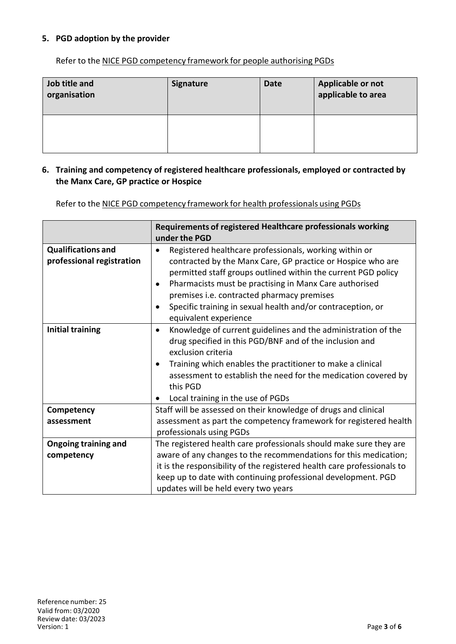## **5. PGD adoption by the provider**

Refer to the NICE PGD competency framework for people authorising PGDs

| Job title and<br>organisation | <b>Signature</b> | <b>Date</b> | Applicable or not<br>applicable to area |
|-------------------------------|------------------|-------------|-----------------------------------------|
|                               |                  |             |                                         |

### **6. Training and competency of registered healthcare professionals, employed or contracted by the Manx Care, GP practice or Hospice**

Refer to the NICE PGD competency framework for health professionals using PGDs

|                             | Requirements of registered Healthcare professionals working                |  |  |
|-----------------------------|----------------------------------------------------------------------------|--|--|
|                             | under the PGD                                                              |  |  |
| <b>Qualifications and</b>   | Registered healthcare professionals, working within or<br>$\bullet$        |  |  |
| professional registration   | contracted by the Manx Care, GP practice or Hospice who are                |  |  |
|                             | permitted staff groups outlined within the current PGD policy              |  |  |
|                             | Pharmacists must be practising in Manx Care authorised<br>$\bullet$        |  |  |
|                             | premises i.e. contracted pharmacy premises                                 |  |  |
|                             | Specific training in sexual health and/or contraception, or<br>$\bullet$   |  |  |
|                             | equivalent experience                                                      |  |  |
| <b>Initial training</b>     | Knowledge of current guidelines and the administration of the<br>$\bullet$ |  |  |
|                             | drug specified in this PGD/BNF and of the inclusion and                    |  |  |
|                             | exclusion criteria                                                         |  |  |
|                             | Training which enables the practitioner to make a clinical                 |  |  |
|                             | assessment to establish the need for the medication covered by             |  |  |
|                             | this PGD                                                                   |  |  |
|                             | Local training in the use of PGDs<br>$\bullet$                             |  |  |
| Competency                  | Staff will be assessed on their knowledge of drugs and clinical            |  |  |
| assessment                  | assessment as part the competency framework for registered health          |  |  |
|                             | professionals using PGDs                                                   |  |  |
| <b>Ongoing training and</b> | The registered health care professionals should make sure they are         |  |  |
| competency                  | aware of any changes to the recommendations for this medication;           |  |  |
|                             | it is the responsibility of the registered health care professionals to    |  |  |
|                             | keep up to date with continuing professional development. PGD              |  |  |
|                             | updates will be held every two years                                       |  |  |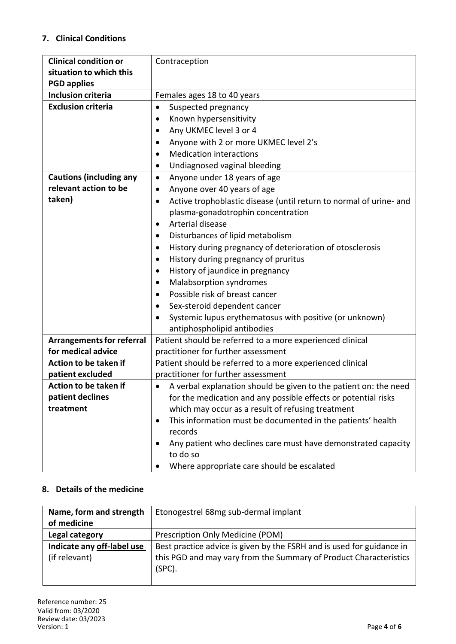## **7. Clinical Conditions**

| <b>Clinical condition or</b>     | Contraception                                                                   |  |  |
|----------------------------------|---------------------------------------------------------------------------------|--|--|
| situation to which this          |                                                                                 |  |  |
| <b>PGD applies</b>               |                                                                                 |  |  |
| <b>Inclusion criteria</b>        | Females ages 18 to 40 years                                                     |  |  |
| <b>Exclusion criteria</b>        | Suspected pregnancy<br>$\bullet$                                                |  |  |
|                                  | Known hypersensitivity                                                          |  |  |
|                                  | Any UKMEC level 3 or 4                                                          |  |  |
|                                  | Anyone with 2 or more UKMEC level 2's                                           |  |  |
|                                  | <b>Medication interactions</b>                                                  |  |  |
|                                  | Undiagnosed vaginal bleeding                                                    |  |  |
| <b>Cautions (including any</b>   | Anyone under 18 years of age<br>$\bullet$                                       |  |  |
| relevant action to be            | Anyone over 40 years of age<br>$\bullet$                                        |  |  |
| taken)                           | Active trophoblastic disease (until return to normal of urine- and<br>$\bullet$ |  |  |
|                                  | plasma-gonadotrophin concentration                                              |  |  |
|                                  | Arterial disease<br>$\bullet$                                                   |  |  |
|                                  | Disturbances of lipid metabolism                                                |  |  |
|                                  | History during pregnancy of deterioration of otosclerosis<br>$\bullet$          |  |  |
|                                  | History during pregnancy of pruritus<br>$\bullet$                               |  |  |
|                                  | History of jaundice in pregnancy<br>$\bullet$                                   |  |  |
|                                  | Malabsorption syndromes<br>$\bullet$                                            |  |  |
|                                  | Possible risk of breast cancer                                                  |  |  |
|                                  | Sex-steroid dependent cancer                                                    |  |  |
|                                  | Systemic lupus erythematosus with positive (or unknown)                         |  |  |
|                                  | antiphospholipid antibodies                                                     |  |  |
| <b>Arrangements for referral</b> | Patient should be referred to a more experienced clinical                       |  |  |
| for medical advice               | practitioner for further assessment                                             |  |  |
| Action to be taken if            | Patient should be referred to a more experienced clinical                       |  |  |
| patient excluded                 | practitioner for further assessment                                             |  |  |
| Action to be taken if            | A verbal explanation should be given to the patient on: the need                |  |  |
| patient declines                 | for the medication and any possible effects or potential risks                  |  |  |
| treatment                        | which may occur as a result of refusing treatment                               |  |  |
|                                  | This information must be documented in the patients' health                     |  |  |
|                                  | records                                                                         |  |  |
|                                  | Any patient who declines care must have demonstrated capacity                   |  |  |
|                                  | to do so                                                                        |  |  |
|                                  | Where appropriate care should be escalated                                      |  |  |

## **8. Details of the medicine**

| Name, form and strength                     | Etonogestrel 68mg sub-dermal implant                                                                                                                 |  |
|---------------------------------------------|------------------------------------------------------------------------------------------------------------------------------------------------------|--|
| of medicine                                 |                                                                                                                                                      |  |
| Legal category                              | Prescription Only Medicine (POM)                                                                                                                     |  |
| Indicate any off-label use<br>(if relevant) | Best practice advice is given by the FSRH and is used for guidance in<br>this PGD and may vary from the Summary of Product Characteristics<br>(SPC). |  |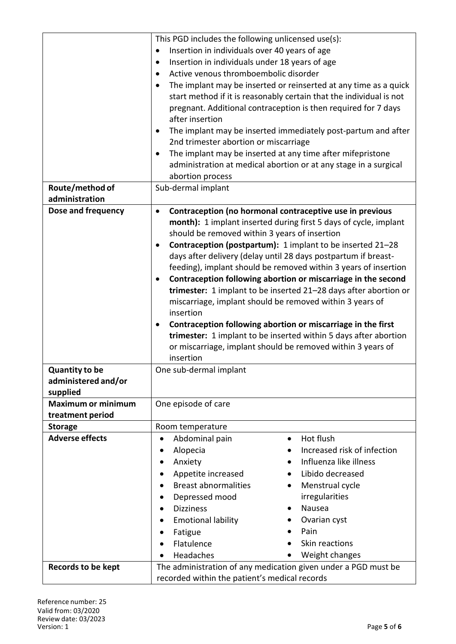|                                    | This PGD includes the following unlicensed use(s):                            |  |  |
|------------------------------------|-------------------------------------------------------------------------------|--|--|
|                                    | Insertion in individuals over 40 years of age<br>$\bullet$                    |  |  |
|                                    | Insertion in individuals under 18 years of age<br>$\bullet$                   |  |  |
|                                    | Active venous thromboembolic disorder                                         |  |  |
|                                    | The implant may be inserted or reinserted at any time as a quick<br>$\bullet$ |  |  |
|                                    | start method if it is reasonably certain that the individual is not           |  |  |
|                                    | pregnant. Additional contraception is then required for 7 days                |  |  |
|                                    | after insertion                                                               |  |  |
|                                    | The implant may be inserted immediately post-partum and after<br>٠            |  |  |
|                                    | 2nd trimester abortion or miscarriage                                         |  |  |
|                                    | The implant may be inserted at any time after mifepristone                    |  |  |
|                                    | administration at medical abortion or at any stage in a surgical              |  |  |
|                                    | abortion process                                                              |  |  |
| Route/method of                    | Sub-dermal implant                                                            |  |  |
| administration                     |                                                                               |  |  |
| Dose and frequency                 | Contraception (no hormonal contraceptive use in previous<br>$\bullet$         |  |  |
|                                    | month): 1 implant inserted during first 5 days of cycle, implant              |  |  |
|                                    | should be removed within 3 years of insertion                                 |  |  |
|                                    | Contraception (postpartum): 1 implant to be inserted 21-28                    |  |  |
|                                    | days after delivery (delay until 28 days postpartum if breast-                |  |  |
|                                    | feeding), implant should be removed within 3 years of insertion               |  |  |
|                                    | Contraception following abortion or miscarriage in the second<br>٠            |  |  |
|                                    | trimester: 1 implant to be inserted 21-28 days after abortion or              |  |  |
|                                    | miscarriage, implant should be removed within 3 years of                      |  |  |
|                                    | insertion                                                                     |  |  |
|                                    | Contraception following abortion or miscarriage in the first                  |  |  |
|                                    | trimester: 1 implant to be inserted within 5 days after abortion              |  |  |
|                                    | or miscarriage, implant should be removed within 3 years of                   |  |  |
|                                    | insertion                                                                     |  |  |
| <b>Quantity to be</b>              | One sub-dermal implant                                                        |  |  |
| administered and/or                |                                                                               |  |  |
| supplied                           |                                                                               |  |  |
| <b>Maximum or minimum</b>          | One episode of care                                                           |  |  |
| treatment period<br><b>Storage</b> |                                                                               |  |  |
| <b>Adverse effects</b>             | Room temperature<br>Abdominal pain<br>Hot flush<br>$\bullet$<br>٠             |  |  |
|                                    | Alopecia<br>Increased risk of infection                                       |  |  |
|                                    | Influenza like illness                                                        |  |  |
|                                    | Anxiety<br>$\bullet$<br>Libido decreased                                      |  |  |
|                                    | Appetite increased                                                            |  |  |
|                                    | <b>Breast abnormalities</b><br>Menstrual cycle<br>$\bullet$                   |  |  |
|                                    | irregularities<br>Depressed mood<br>Nausea                                    |  |  |
|                                    | <b>Dizziness</b>                                                              |  |  |
|                                    | Ovarian cyst<br><b>Emotional lability</b>                                     |  |  |
|                                    | Pain<br>Fatigue                                                               |  |  |
|                                    | Flatulence<br>Skin reactions                                                  |  |  |
|                                    | Weight changes<br>Headaches                                                   |  |  |
| <b>Records to be kept</b>          | The administration of any medication given under a PGD must be                |  |  |
|                                    | recorded within the patient's medical records                                 |  |  |